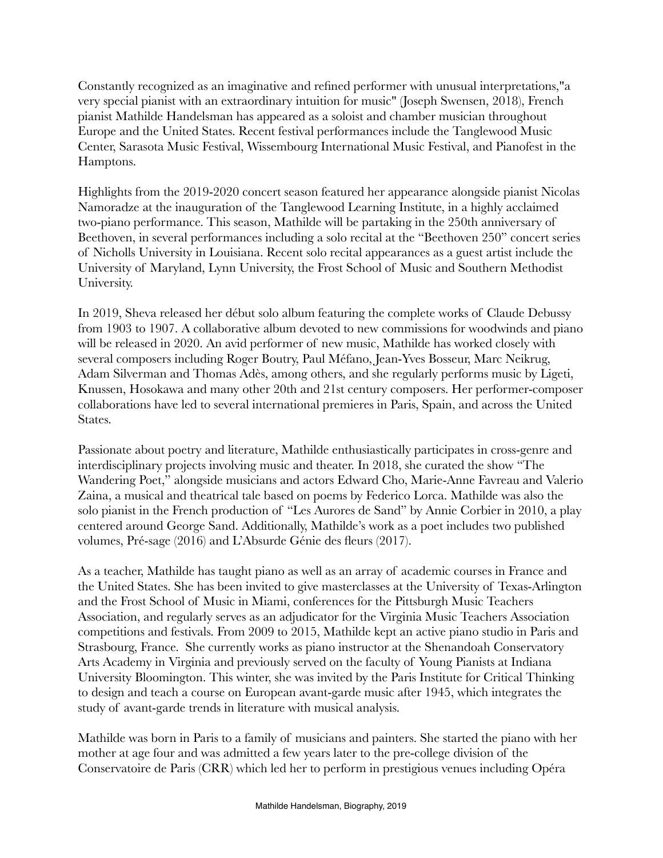Constantly recognized as an imaginative and refined performer with unusual interpretations,"a very special pianist with an extraordinary intuition for music" (Joseph Swensen, 2018), French pianist Mathilde Handelsman has appeared as a soloist and chamber musician throughout Europe and the United States. Recent festival performances include the Tanglewood Music Center, Sarasota Music Festival, Wissembourg International Music Festival, and Pianofest in the Hamptons.

Highlights from the 2019-2020 concert season featured her appearance alongside pianist Nicolas Namoradze at the inauguration of the Tanglewood Learning Institute, in a highly acclaimed two-piano performance. This season, Mathilde will be partaking in the 250th anniversary of Beethoven, in several performances including a solo recital at the "Beethoven 250" concert series of Nicholls University in Louisiana. Recent solo recital appearances as a guest artist include the University of Maryland, Lynn University, the Frost School of Music and Southern Methodist University.

In 2019, Sheva released her début solo album featuring the complete works of Claude Debussy from 1903 to 1907. A collaborative album devoted to new commissions for woodwinds and piano will be released in 2020. An avid performer of new music, Mathilde has worked closely with several composers including Roger Boutry, Paul Méfano, Jean-Yves Bosseur, Marc Neikrug, Adam Silverman and Thomas Adès, among others, and she regularly performs music by Ligeti, Knussen, Hosokawa and many other 20th and 21st century composers. Her performer-composer collaborations have led to several international premieres in Paris, Spain, and across the United States.

Passionate about poetry and literature, Mathilde enthusiastically participates in cross-genre and interdisciplinary projects involving music and theater. In 2018, she curated the show "The Wandering Poet," alongside musicians and actors Edward Cho, Marie-Anne Favreau and Valerio Zaina, a musical and theatrical tale based on poems by Federico Lorca. Mathilde was also the solo pianist in the French production of "Les Aurores de Sand" by Annie Corbier in 2010, a play centered around George Sand. Additionally, Mathilde's work as a poet includes two published volumes, Pré-sage (2016) and L'Absurde Génie des fleurs (2017).

As a teacher, Mathilde has taught piano as well as an array of academic courses in France and the United States. She has been invited to give masterclasses at the University of Texas-Arlington and the Frost School of Music in Miami, conferences for the Pittsburgh Music Teachers Association, and regularly serves as an adjudicator for the Virginia Music Teachers Association competitions and festivals. From 2009 to 2015, Mathilde kept an active piano studio in Paris and Strasbourg, France. She currently works as piano instructor at the Shenandoah Conservatory Arts Academy in Virginia and previously served on the faculty of Young Pianists at Indiana University Bloomington. This winter, she was invited by the Paris Institute for Critical Thinking to design and teach a course on European avant-garde music after 1945, which integrates the study of avant-garde trends in literature with musical analysis.

Mathilde was born in Paris to a family of musicians and painters. She started the piano with her mother at age four and was admitted a few years later to the pre-college division of the Conservatoire de Paris (CRR) which led her to perform in prestigious venues including Opéra